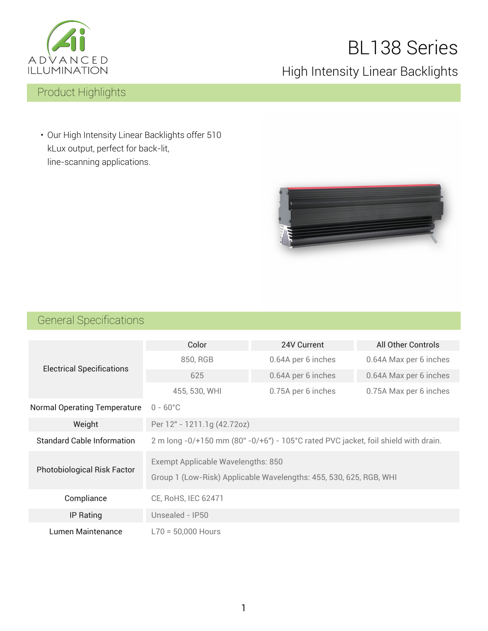

# BL138 Series

## High Intensity Linear Backlights

### Product Highlights

• Our High Intensity Linear Backlights offer 510 kLux output, perfect for back-lit, line-scanning applications.



### General Specifications

| <b>Electrical Specifications</b>    | Color                                                                              | 24V Current        | All Other Controls     |  |
|-------------------------------------|------------------------------------------------------------------------------------|--------------------|------------------------|--|
|                                     | 850, RGB                                                                           | 0.64A per 6 inches | 0.64A Max per 6 inches |  |
|                                     | 625                                                                                | 0.64A per 6 inches | 0.64A Max per 6 inches |  |
|                                     | 455, 530, WHI                                                                      | 0.75A per 6 inches | 0.75A Max per 6 inches |  |
| <b>Normal Operating Temperature</b> | $0 - 60^{\circ}$ C                                                                 |                    |                        |  |
| Weight                              | Per 12" - 1211.1g (42.72oz)                                                        |                    |                        |  |
| <b>Standard Cable Information</b>   | 2 m long -0/+150 mm (80" -0/+6") - 105°C rated PVC jacket, foil shield with drain. |                    |                        |  |
| <b>Photobiological Risk Factor</b>  | Exempt Applicable Wavelengths: 850                                                 |                    |                        |  |
|                                     | Group 1 (Low-Risk) Applicable Wavelengths: 455, 530, 625, RGB, WHI                 |                    |                        |  |
| Compliance                          | CE, RoHS, IEC 62471                                                                |                    |                        |  |
| IP Rating                           | Unsealed - IP50                                                                    |                    |                        |  |
| Lumen Maintenance                   | $L70 = 50,000$ Hours                                                               |                    |                        |  |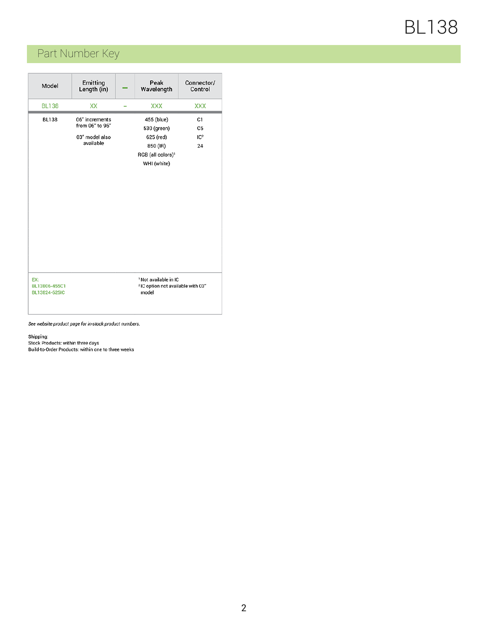### Part Number Key

| Model                                 | Emitting<br>Length (in)                                          | Peak<br>Wavelength                                                                                 | Connector/<br>Control                         |
|---------------------------------------|------------------------------------------------------------------|----------------------------------------------------------------------------------------------------|-----------------------------------------------|
| <b>BL138</b>                          | XX                                                               | <b>XXX</b>                                                                                         | <b>XXX</b>                                    |
| <b>BL138</b>                          | 06" increments<br>from 06" to 96"<br>03" model also<br>available | 455 (blue)<br>530 (green)<br>625 (red)<br>850 (IR)<br>RGB (all colors) <sup>1</sup><br>WHI (white) | C1<br>C <sub>5</sub><br>IC <sup>2</sup><br>24 |
| EX:<br>BL13806-455C1<br>BL13824-625IC |                                                                  | <sup>1</sup> Not available in IC<br><sup>2</sup> IC option not available with 03"<br>model         |                                               |

See website product page for in-stock product numbers.

Shipping:<br>Stock Products: within three days<br>Build-to-Order Products: within one to three weeks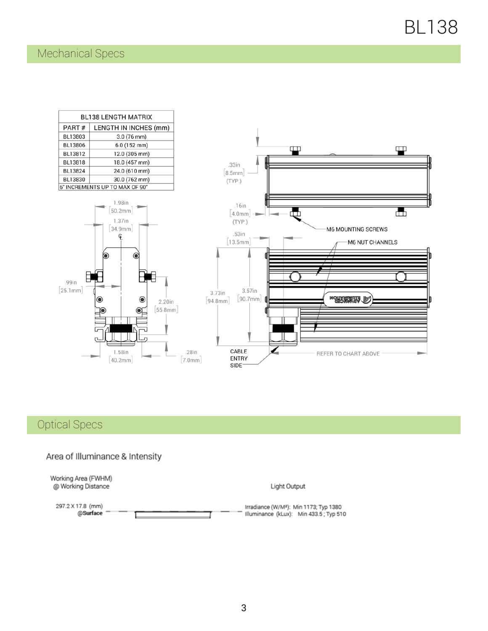

### Optical Specs

Area of Illuminance & Intensity

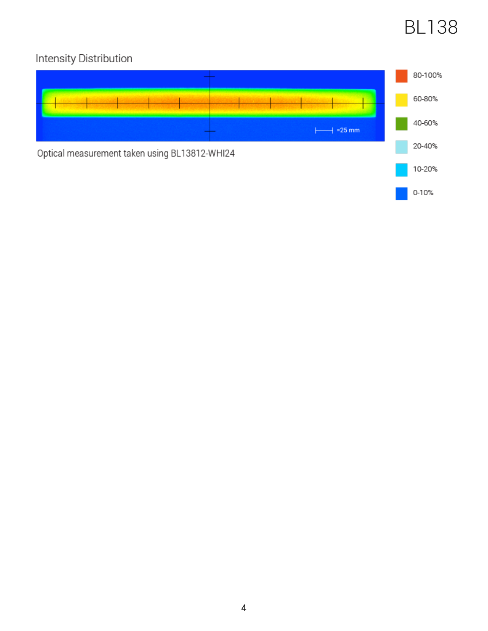### Intensity Distribution

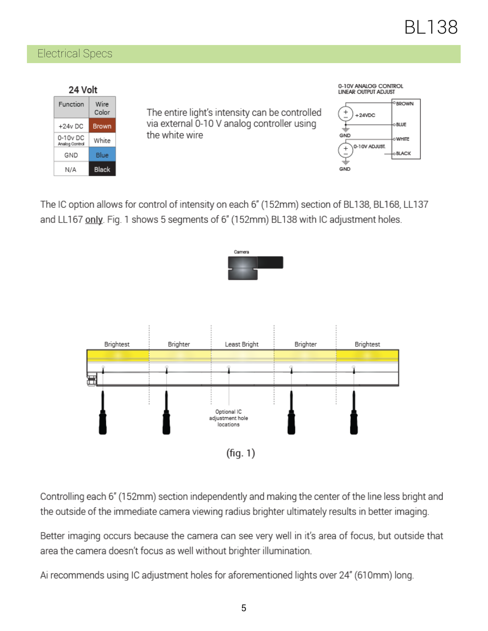### Electrical Specs

| 24 Volt                    |               |  |  |
|----------------------------|---------------|--|--|
| Function                   | Wire<br>Color |  |  |
| $+24v$ DC                  | <b>Brown</b>  |  |  |
| 0-10v DC<br>Analog Control | White         |  |  |
| GND                        | Blue          |  |  |
| N/A                        | Black         |  |  |

The entire light's intensity can be controlled via external 0-10 V analog controller using the white wire



The IC option allows for control of intensity on each 6" (152mm) section of BL138, BL168, LL137 and LL167 only. Fig. 1 shows 5 segments of 6" (152mm) BL138 with IC adjustment holes.





Controlling each 6" (152mm) section independently and making the center of the line less bright and the outside of the immediate camera viewing radius brighter ultimately results in better imaging.

Better imaging occurs because the camera can see very well in it's area of focus, but outside that area the camera doesn't focus as well without brighter illumination.

Ai recommends using IC adjustment holes for aforementioned lights over 24" (610mm) long.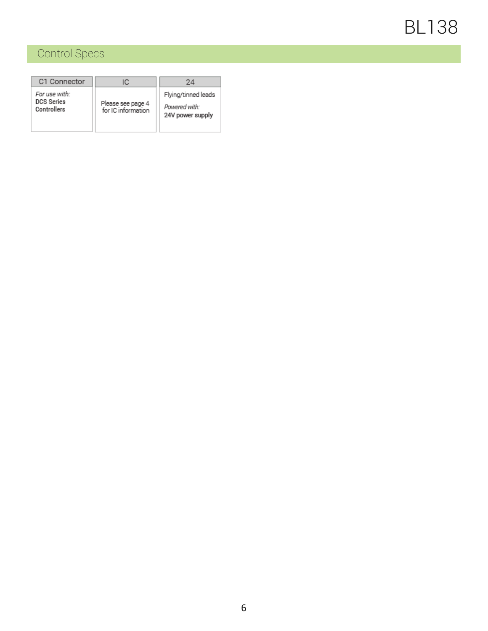## Control Specs

| C1 Connector                                      | IC                                      | 24                                                       |
|---------------------------------------------------|-----------------------------------------|----------------------------------------------------------|
| For use with:<br><b>DCS Series</b><br>Controllers | Please see page 4<br>for IC information | Flying/tinned leads<br>Powered with:<br>24V power supply |